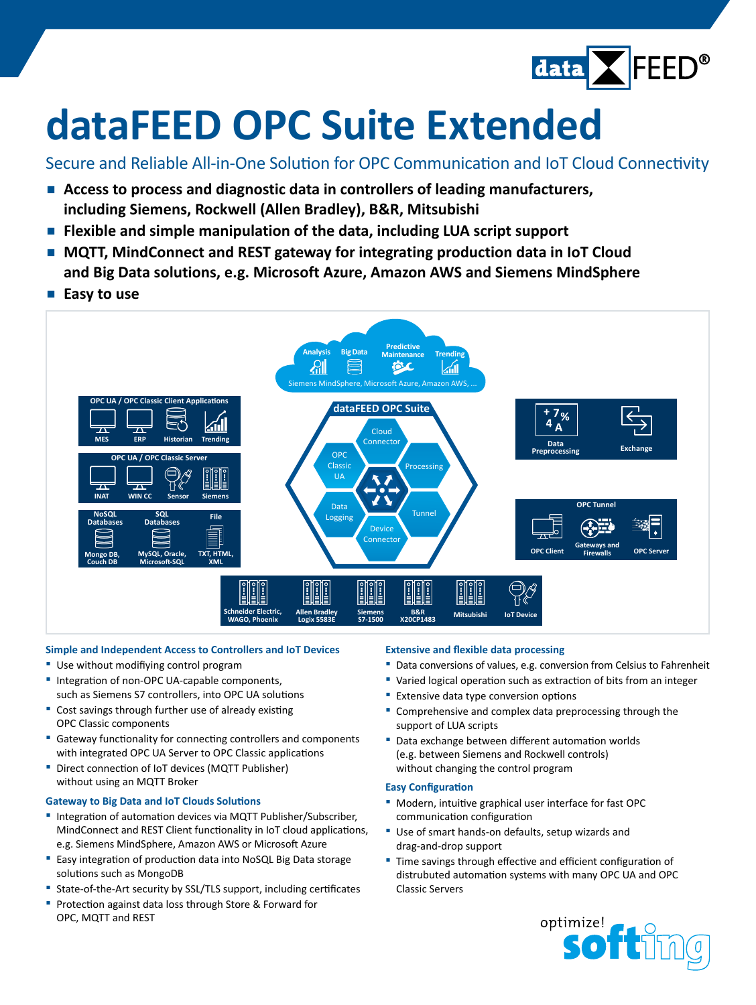

# **dataFEED OPC Suite Extended**

Secure and Reliable All-in-One Solution for OPC Communication and IoT Cloud Connectivity

- **▪  Access to process and diagnostic data in controllers of leading manufacturers, including Siemens, Rockwell (Allen Bradley), B&R, Mitsubishi**
- **▪  Flexible and simple manipulation of the data, including LUA script support**
- **▪  MQTT, MindConnect and REST gateway for integrating production data in IoT Cloud and Big Data solutions, e.g. Microsoft Azure, Amazon AWS and Siemens MindSphere**
- Easy to use



### **Simple and Independent Access to Controllers and IoT Devices**

- **▪** Use without modifiying control program
- **▪** Integration of non-OPC UA-capable components, such as Siemens S7 controllers, into OPC UA solutions
- **▪** Cost savings through further use of already existing OPC Classic components
- **▪** Gateway functionality for connecting controllers and components with integrated OPC UA Server to OPC Classic applications
- **▪** Direct connection of IoT devices (MQTT Publisher) without using an MQTT Broker

#### **Gateway to Big Data and IoT Clouds Solutions**

- **▪** Integration of automation devices via MQTT Publisher/Subscriber, MindConnect and REST Client functionality in IoT cloud applications, e.g. Siemens MindSphere, Amazon AWS or Microsoft Azure
- **▪** Easy integration of production data into NoSQL Big Data storage solutions such as MongoDB
- **▪** State-of-the-Art security by SSL/TLS support, including certificates
- **▪** Protection against data loss through Store & Forward for OPC, MQTT and REST

#### **Extensive and flexible data processing**

- Data conversions of values, e.g. conversion from Celsius to Fahrenheit
- **▪** Varied logical operation such as extraction of bits from an integer
- **Extensive data type conversion options**
- **▪** Comprehensive and complex data preprocessing through the support of LUA scripts
- Data exchange between different automation worlds (e.g. between Siemens and Rockwell controls) without changing the control program

#### **Easy Configuration**

- **▪** Modern, intuitive graphical user interface for fast OPC communication configuration
- Use of smart hands-on defaults, setup wizards and drag-and-drop support
- **▪** Time savings through effective and efficient configuration of distrubuted automation systems with many OPC UA and OPC Classic Servers